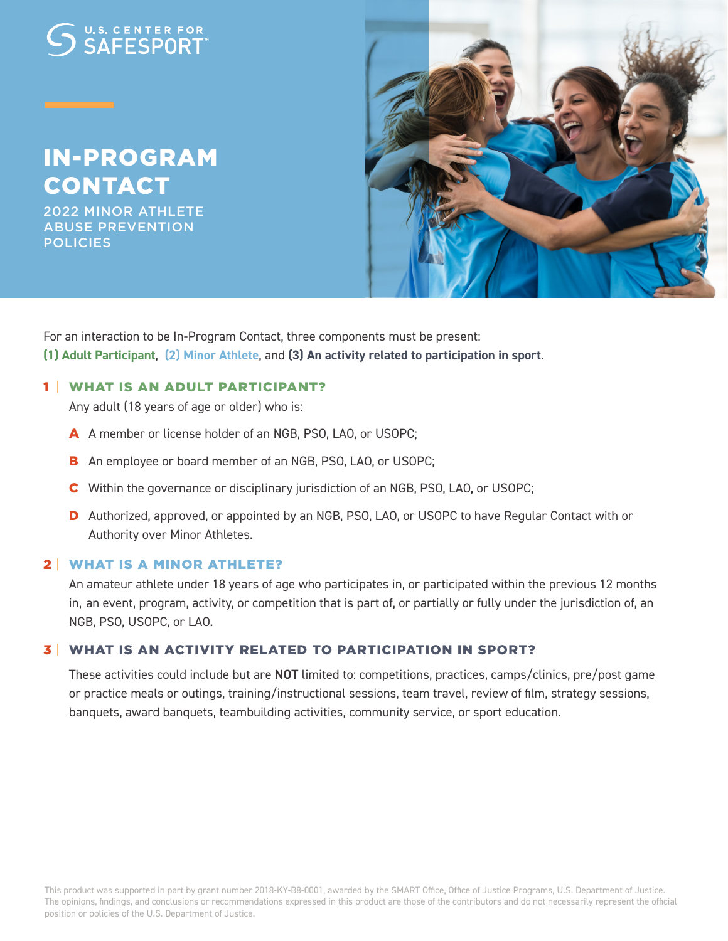# U.S. CENTER FOR

# IN-PROGRAM CONTACT

2022 MINOR ATHLETE ABUSE PREVENTION **POLICIES** 



For an interaction to be In-Program Contact, three components must be present: **(1) Adult Participant**, **(2) Minor Athlete**, and **(3) An activity related to participation in sport**.

#### 1 | WHAT IS AN ADULT PARTICIPANT?

Any adult (18 years of age or older) who is:

- A A member or license holder of an NGB, PSO, LAO, or USOPC;
- **B** An employee or board member of an NGB, PSO, LAO, or USOPC;
- C Within the governance or disciplinary jurisdiction of an NGB, PSO, LAO, or USOPC;
- D Authorized, approved, or appointed by an NGB, PSO, LAO, or USOPC to have Regular Contact with or Authority over Minor Athletes.

#### 2 | WHAT IS A MINOR ATHLETE?

 An amateur athlete under 18 years of age who participates in, or participated within the previous 12 months in, an event, program, activity, or competition that is part of, or partially or fully under the jurisdiction of, an NGB, PSO, USOPC, or LAO.

#### 3 | WHAT IS AN ACTIVITY RELATED TO PARTICIPATION IN SPORT?

 These activities could include but are **NOT** limited to: competitions, practices, camps/clinics, pre/post game or practice meals or outings, training/instructional sessions, team travel, review of film, strategy sessions, banquets, award banquets, teambuilding activities, community service, or sport education.